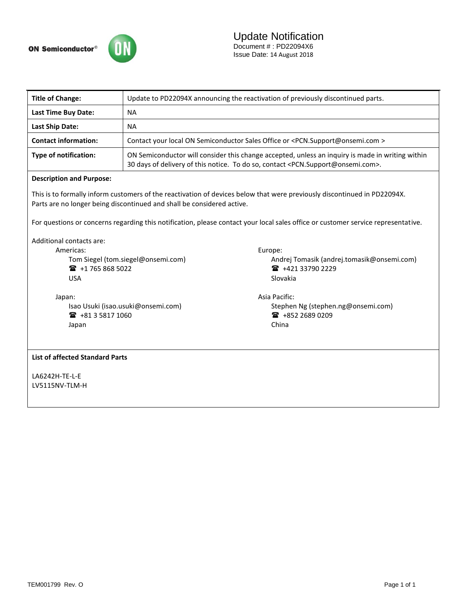

| <b>Title of Change:</b>                                                                                                                                                                                                                                                                                                                 |                                                                                                                                                                                                              |                                            |  |  |  |  |
|-----------------------------------------------------------------------------------------------------------------------------------------------------------------------------------------------------------------------------------------------------------------------------------------------------------------------------------------|--------------------------------------------------------------------------------------------------------------------------------------------------------------------------------------------------------------|--------------------------------------------|--|--|--|--|
|                                                                                                                                                                                                                                                                                                                                         | Update to PD22094X announcing the reactivation of previously discontinued parts.                                                                                                                             |                                            |  |  |  |  |
| Last Time Buy Date:                                                                                                                                                                                                                                                                                                                     | <b>NA</b>                                                                                                                                                                                                    |                                            |  |  |  |  |
| <b>Last Ship Date:</b>                                                                                                                                                                                                                                                                                                                  | <b>NA</b>                                                                                                                                                                                                    |                                            |  |  |  |  |
| <b>Contact information:</b>                                                                                                                                                                                                                                                                                                             | Contact your local ON Semiconductor Sales Office or <pcn.support@onsemi.com></pcn.support@onsemi.com>                                                                                                        |                                            |  |  |  |  |
| <b>Type of notification:</b>                                                                                                                                                                                                                                                                                                            | ON Semiconductor will consider this change accepted, unless an inquiry is made in writing within<br>30 days of delivery of this notice. To do so, contact <pcn.support@onsemi.com>.</pcn.support@onsemi.com> |                                            |  |  |  |  |
| <b>Description and Purpose:</b>                                                                                                                                                                                                                                                                                                         |                                                                                                                                                                                                              |                                            |  |  |  |  |
| This is to formally inform customers of the reactivation of devices below that were previously discontinued in PD22094X.<br>Parts are no longer being discontinued and shall be considered active.<br>For questions or concerns regarding this notification, please contact your local sales office or customer service representative. |                                                                                                                                                                                                              |                                            |  |  |  |  |
|                                                                                                                                                                                                                                                                                                                                         |                                                                                                                                                                                                              |                                            |  |  |  |  |
| Americas:                                                                                                                                                                                                                                                                                                                               |                                                                                                                                                                                                              | Europe:                                    |  |  |  |  |
| Tom Siegel (tom.siegel@onsemi.com)                                                                                                                                                                                                                                                                                                      |                                                                                                                                                                                                              | Andrej Tomasik (andrej.tomasik@onsemi.com) |  |  |  |  |
| ■ +1 765 868 5022                                                                                                                                                                                                                                                                                                                       |                                                                                                                                                                                                              | ■ +421 33790 2229                          |  |  |  |  |
| <b>USA</b>                                                                                                                                                                                                                                                                                                                              |                                                                                                                                                                                                              | Slovakia                                   |  |  |  |  |
| Japan:                                                                                                                                                                                                                                                                                                                                  |                                                                                                                                                                                                              | Asia Pacific:                              |  |  |  |  |
| Isao Usuki (isao.usuki@onsemi.com)                                                                                                                                                                                                                                                                                                      |                                                                                                                                                                                                              | Stephen Ng (stephen.ng@onsemi.com)         |  |  |  |  |
| ■ +81 3 5817 1060                                                                                                                                                                                                                                                                                                                       |                                                                                                                                                                                                              | ■ +852 2689 0209                           |  |  |  |  |
| Japan                                                                                                                                                                                                                                                                                                                                   |                                                                                                                                                                                                              | China                                      |  |  |  |  |
| <b>List of affected Standard Parts</b>                                                                                                                                                                                                                                                                                                  |                                                                                                                                                                                                              |                                            |  |  |  |  |
| LA6242H-TE-L-E                                                                                                                                                                                                                                                                                                                          |                                                                                                                                                                                                              |                                            |  |  |  |  |
| LV5115NV-TLM-H                                                                                                                                                                                                                                                                                                                          |                                                                                                                                                                                                              |                                            |  |  |  |  |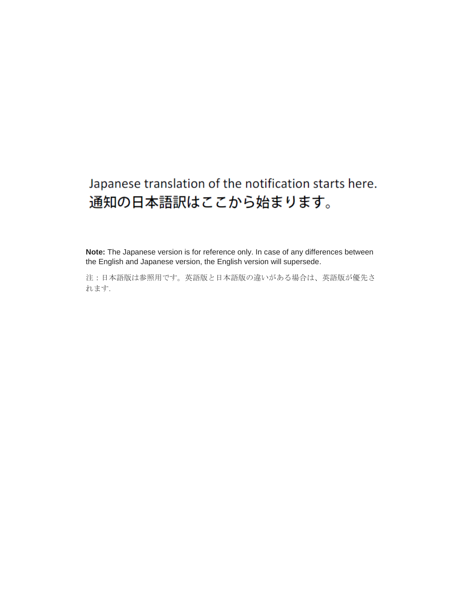# Japanese translation of the notification starts here. 通知の日本語訳はここから始まります。

**Note:** The Japanese version is for reference only. In case of any differences between the English and Japanese version, the English version will supersede.

注:日本語版は参照用です。英語版と日本語版の違いがある場合は、英語版が優先さ れます.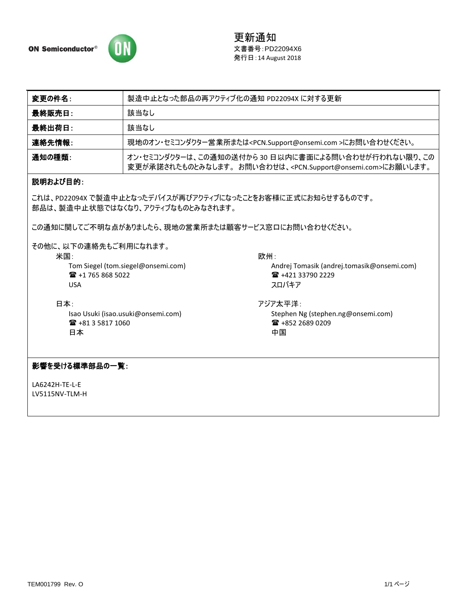

更新通知 文書番号:PD22094X6 発行日:14 August 2018

| 変更の件名 : | 製造中止となった部品の再アクティブ化の通知 PD22094X に対する更新                                                                                                      |  |  |
|---------|--------------------------------------------------------------------------------------------------------------------------------------------|--|--|
| 最終販売日:  | 該当なし                                                                                                                                       |  |  |
| 最終出荷日:  | 該当なし                                                                                                                                       |  |  |
| 連絡先情報:  | 現地のオン・セミコンダクター営業所または <pcn.support@onsemi.com>にお問い合わせください。</pcn.support@onsemi.com>                                                         |  |  |
| 通知の種類:  | オン・セミコンダクターは、この通知の送付から 30 日以内に書面による問い合わせが行われない限り、この<br>変更が承諾されたものとみなします。お問い合わせは、 <pcn.support@onsemi.com>にお願いします。</pcn.support@onsemi.com> |  |  |

# 説明および目的:

これは、PD22094X で製造中止となったデバイスが再びアクティブになったことをお客様に正式にお知らせするものです。 部品は、製造中止状態ではなくなり、アクティブなものとみなされます。

この通知に関してご不明な点がありましたら、現地の営業所または顧客サービス窓口にお問い合わせください。

その他に、以下の連絡先もご利用になれます。

米国:

Tom Siegel [\(tom.siegel@onsemi.com\)](mailto:tom.siegel@onsemi.com) +1 765 868 5022 USA

日本: Isao Usuki (isao.usuki@onsemi.com) +81 3 5817 1060 日本

欧州:

Andrej Tomasik (andrej.tomasik@onsemi.com) ■ +421 33790 2229 スロバキア

アジア太平洋: Stephen Ng (stephen.ng@onsemi.com)  $\text{ }$  +852 2689 0209 中国

### 影響を受ける標準部品の一覧:

LA6242H-TE-L-E LV5115NV-TLM-H